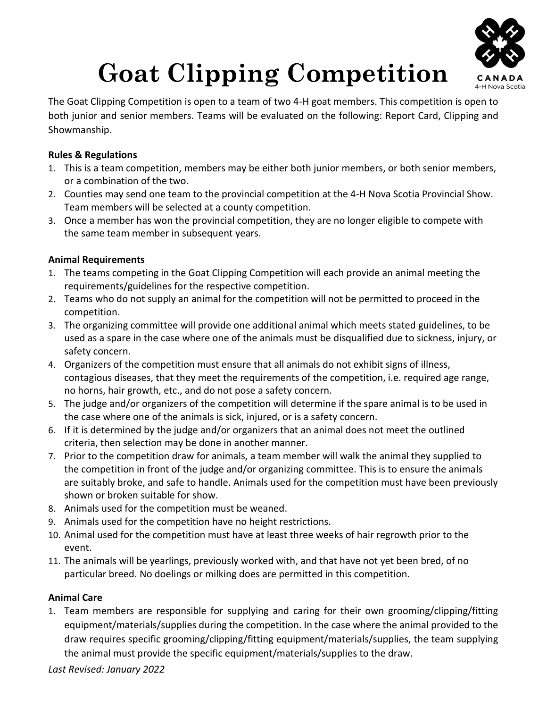

# **Goat Clipping Competition**

The Goat Clipping Competition is open to a team of two 4-H goat members. This competition is open to both junior and senior members. Teams will be evaluated on the following: Report Card, Clipping and Showmanship.

### **Rules & Regulations**

- 1. This is a team competition, members may be either both junior members, or both senior members, or a combination of the two.
- 2. Counties may send one team to the provincial competition at the 4-H Nova Scotia Provincial Show. Team members will be selected at a county competition.
- 3. Once a member has won the provincial competition, they are no longer eligible to compete with the same team member in subsequent years.

## **Animal Requirements**

- 1. The teams competing in the Goat Clipping Competition will each provide an animal meeting the requirements/guidelines for the respective competition.
- 2. Teams who do not supply an animal for the competition will not be permitted to proceed in the competition.
- 3. The organizing committee will provide one additional animal which meets stated guidelines, to be used as a spare in the case where one of the animals must be disqualified due to sickness, injury, or safety concern.
- 4. Organizers of the competition must ensure that all animals do not exhibit signs of illness, contagious diseases, that they meet the requirements of the competition, i.e. required age range, no horns, hair growth, etc., and do not pose a safety concern.
- 5. The judge and/or organizers of the competition will determine if the spare animal is to be used in the case where one of the animals is sick, injured, or is a safety concern.
- 6. If it is determined by the judge and/or organizers that an animal does not meet the outlined criteria, then selection may be done in another manner.
- 7. Prior to the competition draw for animals, a team member will walk the animal they supplied to the competition in front of the judge and/or organizing committee. This is to ensure the animals are suitably broke, and safe to handle. Animals used for the competition must have been previously shown or broken suitable for show.
- 8. Animals used for the competition must be weaned.
- 9. Animals used for the competition have no height restrictions.
- 10. Animal used for the competition must have at least three weeks of hair regrowth prior to the event.
- 11. The animals will be yearlings, previously worked with, and that have not yet been bred, of no particular breed. No doelings or milking does are permitted in this competition.

### **Animal Care**

1. Team members are responsible for supplying and caring for their own grooming/clipping/fitting equipment/materials/supplies during the competition. In the case where the animal provided to the draw requires specific grooming/clipping/fitting equipment/materials/supplies, the team supplying the animal must provide the specific equipment/materials/supplies to the draw.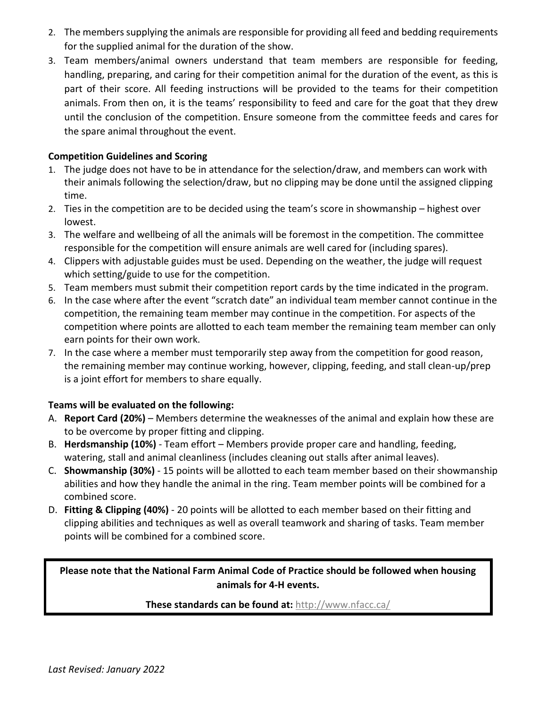- 2. The members supplying the animals are responsible for providing all feed and bedding requirements for the supplied animal for the duration of the show.
- 3. Team members/animal owners understand that team members are responsible for feeding, handling, preparing, and caring for their competition animal for the duration of the event, as this is part of their score. All feeding instructions will be provided to the teams for their competition animals. From then on, it is the teams' responsibility to feed and care for the goat that they drew until the conclusion of the competition. Ensure someone from the committee feeds and cares for the spare animal throughout the event.

### **Competition Guidelines and Scoring**

- 1. The judge does not have to be in attendance for the selection/draw, and members can work with their animals following the selection/draw, but no clipping may be done until the assigned clipping time.
- 2. Ties in the competition are to be decided using the team's score in showmanship highest over lowest.
- 3. The welfare and wellbeing of all the animals will be foremost in the competition. The committee responsible for the competition will ensure animals are well cared for (including spares).
- 4. Clippers with adjustable guides must be used. Depending on the weather, the judge will request which setting/guide to use for the competition.
- 5. Team members must submit their competition report cards by the time indicated in the program.
- 6. In the case where after the event "scratch date" an individual team member cannot continue in the competition, the remaining team member may continue in the competition. For aspects of the competition where points are allotted to each team member the remaining team member can only earn points for their own work.
- 7. In the case where a member must temporarily step away from the competition for good reason, the remaining member may continue working, however, clipping, feeding, and stall clean-up/prep is a joint effort for members to share equally.

### **Teams will be evaluated on the following:**

- A. **Report Card (20%)** Members determine the weaknesses of the animal and explain how these are to be overcome by proper fitting and clipping.
- B. **Herdsmanship (10%)** Team effort Members provide proper care and handling, feeding, watering, stall and animal cleanliness (includes cleaning out stalls after animal leaves).
- C. **Showmanship (30%)** 15 points will be allotted to each team member based on their showmanship abilities and how they handle the animal in the ring. Team member points will be combined for a combined score.
- D. **Fitting & Clipping (40%)** 20 points will be allotted to each member based on their fitting and clipping abilities and techniques as well as overall teamwork and sharing of tasks. Team member points will be combined for a combined score.

# **Please note that the National Farm Animal Code of Practice should be followed when housing animals for 4-H events.**

### **These standards can be found at:** <http://www.nfacc.ca/>